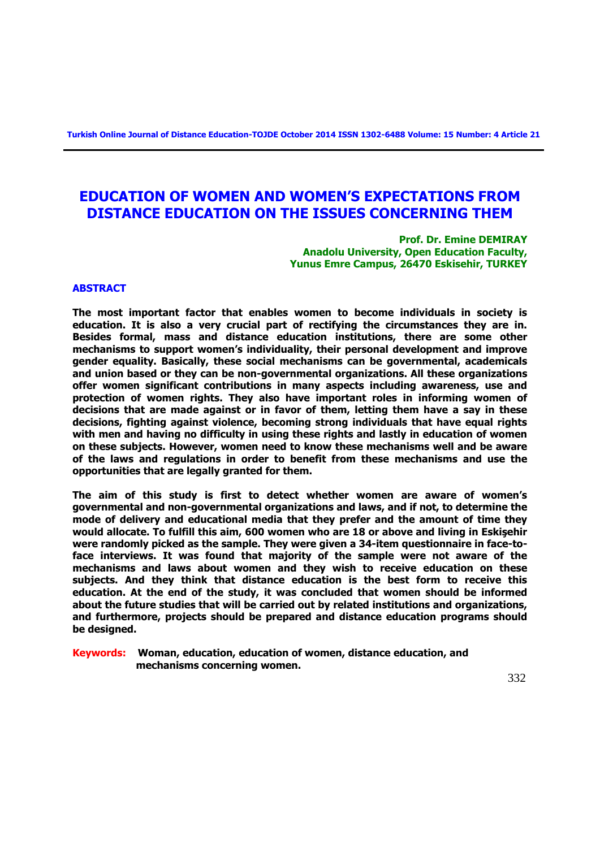# **EDUCATION OF WOMEN AND WOMEN'S EXPECTATIONS FROM DISTANCE EDUCATION ON THE ISSUES CONCERNING THEM**

**Prof. Dr. Emine DEMIRAY Anadolu University, Open Education Faculty, Yunus Emre Campus, 26470 Eskisehir, TURKEY**

## **ABSTRACT**

**The most important factor that enables women to become individuals in society is education. It is also a very crucial part of rectifying the circumstances they are in. Besides formal, mass and distance education institutions, there are some other mechanisms to support women's individuality, their personal development and improve gender equality. Basically, these social mechanisms can be governmental, academicals and union based or they can be non-governmental organizations. All these organizations offer women significant contributions in many aspects including awareness, use and protection of women rights. They also have important roles in informing women of decisions that are made against or in favor of them, letting them have a say in these decisions, fighting against violence, becoming strong individuals that have equal rights with men and having no difficulty in using these rights and lastly in education of women on these subjects. However, women need to know these mechanisms well and be aware of the laws and regulations in order to benefit from these mechanisms and use the opportunities that are legally granted for them.** 

**The aim of this study is first to detect whether women are aware of women's governmental and non-governmental organizations and laws, and if not, to determine the mode of delivery and educational media that they prefer and the amount of time they would allocate. To fulfill this aim, 600 women who are 18 or above and living in Eskişehir were randomly picked as the sample. They were given a 34-item questionnaire in face-toface interviews. It was found that majority of the sample were not aware of the mechanisms and laws about women and they wish to receive education on these subjects. And they think that distance education is the best form to receive this education. At the end of the study, it was concluded that women should be informed about the future studies that will be carried out by related institutions and organizations, and furthermore, projects should be prepared and distance education programs should be designed.** 

**Keywords: Woman, education, education of women, distance education, and mechanisms concerning women.**

332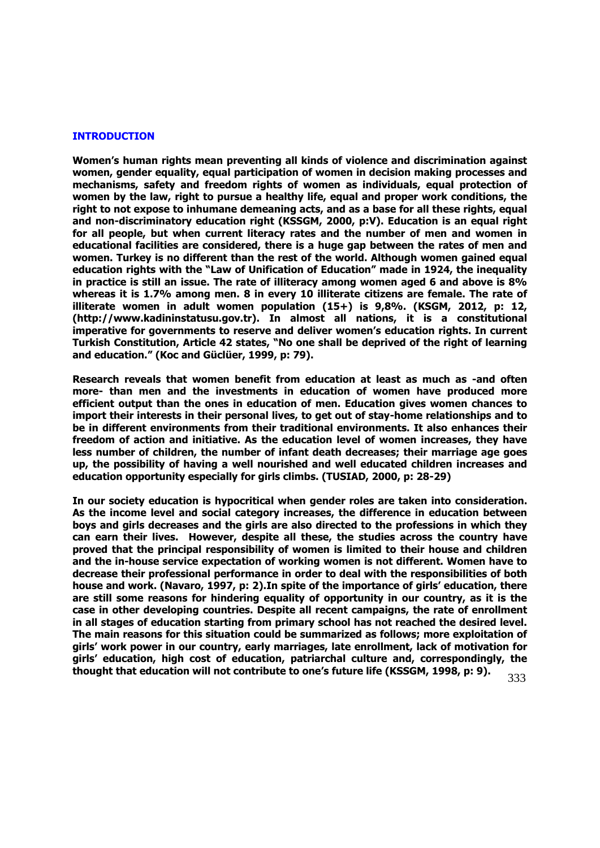#### **INTRODUCTION**

**Women's human rights mean preventing all kinds of violence and discrimination against women, gender equality, equal participation of women in decision making processes and mechanisms, safety and freedom rights of women as individuals, equal protection of women by the law, right to pursue a healthy life, equal and proper work conditions, the right to not expose to inhumane demeaning acts, and as a base for all these rights, equal and non-discriminatory education right (KSSGM, 2000, p:V). Education is an equal right for all people, but when current literacy rates and the number of men and women in educational facilities are considered, there is a huge gap between the rates of men and women. Turkey is no different than the rest of the world. Although women gained equal education rights with the "Law of Unification of Education" made in 1924, the inequality in practice is still an issue. The rate of illiteracy among women aged 6 and above is 8% whereas it is 1.7% among men. 8 in every 10 illiterate citizens are female. The rate of illiterate women in adult women population (15+) is 9,8%. (KSGM, 2012, p: 12, (http://www.kadininstatusu.gov.tr). In almost all nations, it is a constitutional imperative for governments to reserve and deliver women's education rights. In current Turkish Constitution, Article 42 states, "No one shall be deprived of the right of learning and education." (Koc and Güclüer, 1999, p: 79).** 

**Research reveals that women benefit from education at least as much as -and often more- than men and the investments in education of women have produced more efficient output than the ones in education of men. Education gives women chances to import their interests in their personal lives, to get out of stay-home relationships and to be in different environments from their traditional environments. It also enhances their freedom of action and initiative. As the education level of women increases, they have less number of children, the number of infant death decreases; their marriage age goes up, the possibility of having a well nourished and well educated children increases and education opportunity especially for girls climbs. (TUSIAD, 2000, p: 28-29)**

333 **In our society education is hypocritical when gender roles are taken into consideration. As the income level and social category increases, the difference in education between boys and girls decreases and the girls are also directed to the professions in which they can earn their lives. However, despite all these, the studies across the country have proved that the principal responsibility of women is limited to their house and children and the in-house service expectation of working women is not different. Women have to decrease their professional performance in order to deal with the responsibilities of both house and work. (Navaro, 1997, p: 2).In spite of the importance of girls' education, there are still some reasons for hindering equality of opportunity in our country, as it is the case in other developing countries. Despite all recent campaigns, the rate of enrollment in all stages of education starting from primary school has not reached the desired level. The main reasons for this situation could be summarized as follows; more exploitation of girls' work power in our country, early marriages, late enrollment, lack of motivation for girls' education, high cost of education, patriarchal culture and, correspondingly, the thought that education will not contribute to one's future life (KSSGM, 1998, p: 9).**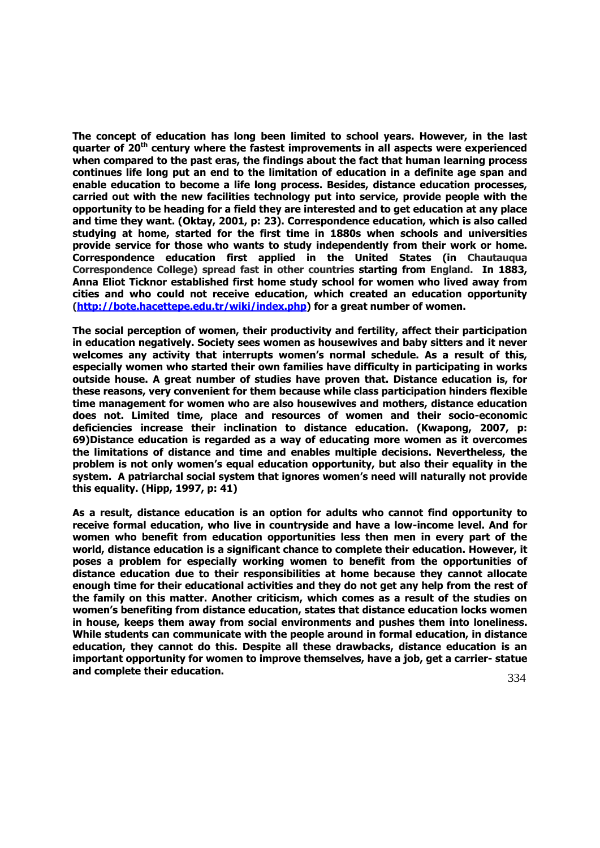**The concept of education has long been limited to school years. However, in the last quarter of 20th century where the fastest improvements in all aspects were experienced when compared to the past eras, the findings about the fact that human learning process continues life long put an end to the limitation of education in a definite age span and enable education to become a life long process. Besides, distance education processes, carried out with the new facilities technology put into service, provide people with the opportunity to be heading for a field they are interested and to get education at any place and time they want. (Oktay, 2001, p: 23). Correspondence education, which is also called studying at home, started for the first time in 1880s when schools and universities provide service for those who wants to study independently from their work or home. Correspondence education first applied in the United States (in Chautauqua Correspondence College) spread fast in other countries starting from England. In 1883, Anna Eliot Ticknor established first home study school for women who lived away from cities and who could not receive education, which created an education opportunity [\(http://bote.hacettepe.edu.tr/wiki/index.php\)](http://bote.hacettepe.edu.tr/wiki/index.php) for a great number of women.**

**The social perception of women, their productivity and fertility, affect their participation in education negatively. Society sees women as housewives and baby sitters and it never welcomes any activity that interrupts women's normal schedule. As a result of this, especially women who started their own families have difficulty in participating in works outside house. A great number of studies have proven that. Distance education is, for these reasons, very convenient for them because while class participation hinders flexible time management for women who are also housewives and mothers, distance education does not. Limited time, place and resources of women and their socio-economic deficiencies increase their inclination to distance education. (Kwapong, 2007, p: 69)Distance education is regarded as a way of educating more women as it overcomes the limitations of distance and time and enables multiple decisions. Nevertheless, the problem is not only women's equal education opportunity, but also their equality in the system. A patriarchal social system that ignores women's need will naturally not provide this equality. (Hipp, 1997, p: 41)**

**As a result, distance education is an option for adults who cannot find opportunity to receive formal education, who live in countryside and have a low-income level. And for women who benefit from education opportunities less then men in every part of the world, distance education is a significant chance to complete their education. However, it poses a problem for especially working women to benefit from the opportunities of distance education due to their responsibilities at home because they cannot allocate enough time for their educational activities and they do not get any help from the rest of the family on this matter. Another criticism, which comes as a result of the studies on women's benefiting from distance education, states that distance education locks women in house, keeps them away from social environments and pushes them into loneliness. While students can communicate with the people around in formal education, in distance education, they cannot do this. Despite all these drawbacks, distance education is an important opportunity for women to improve themselves, have a job, get a carrier- statue and complete their education.**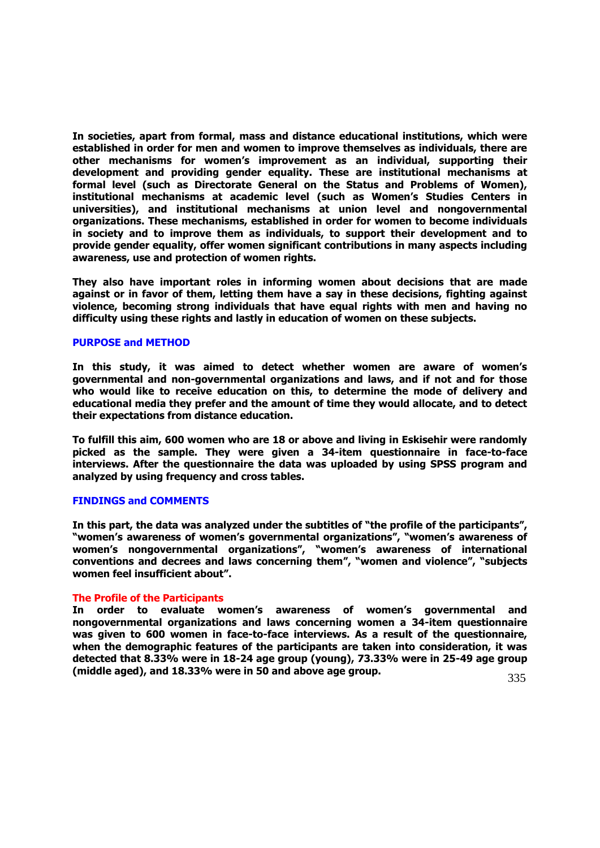**In societies, apart from formal, mass and distance educational institutions, which were established in order for men and women to improve themselves as individuals, there are other mechanisms for women's improvement as an individual, supporting their development and providing gender equality. These are institutional mechanisms at formal level (such as Directorate General on the Status and Problems of Women), institutional mechanisms at academic level (such as Women's Studies Centers in universities), and institutional mechanisms at union level and nongovernmental organizations. These mechanisms, established in order for women to become individuals in society and to improve them as individuals, to support their development and to provide gender equality, offer women significant contributions in many aspects including awareness, use and protection of women rights.** 

**They also have important roles in informing women about decisions that are made against or in favor of them, letting them have a say in these decisions, fighting against violence, becoming strong individuals that have equal rights with men and having no difficulty using these rights and lastly in education of women on these subjects.**

## **PURPOSE and METHOD**

**In this study, it was aimed to detect whether women are aware of women's governmental and non-governmental organizations and laws, and if not and for those who would like to receive education on this, to determine the mode of delivery and educational media they prefer and the amount of time they would allocate, and to detect their expectations from distance education.** 

**To fulfill this aim, 600 women who are 18 or above and living in Eskisehir were randomly picked as the sample. They were given a 34-item questionnaire in face-to-face interviews. After the questionnaire the data was uploaded by using SPSS program and analyzed by using frequency and cross tables.**

#### **FINDINGS and COMMENTS**

**In this part, the data was analyzed under the subtitles of "the profile of the participants", "women's awareness of women's governmental organizations", "women's awareness of women's nongovernmental organizations", "women's awareness of international conventions and decrees and laws concerning them", "women and violence", "subjects women feel insufficient about".**

## **The Profile of the Participants**

**In order to evaluate women's awareness of women's governmental and nongovernmental organizations and laws concerning women a 34-item questionnaire was given to 600 women in face-to-face interviews. As a result of the questionnaire, when the demographic features of the participants are taken into consideration, it was detected that 8.33% were in 18-24 age group (young), 73.33% were in 25-49 age group (middle aged), and 18.33% were in 50 and above age group.**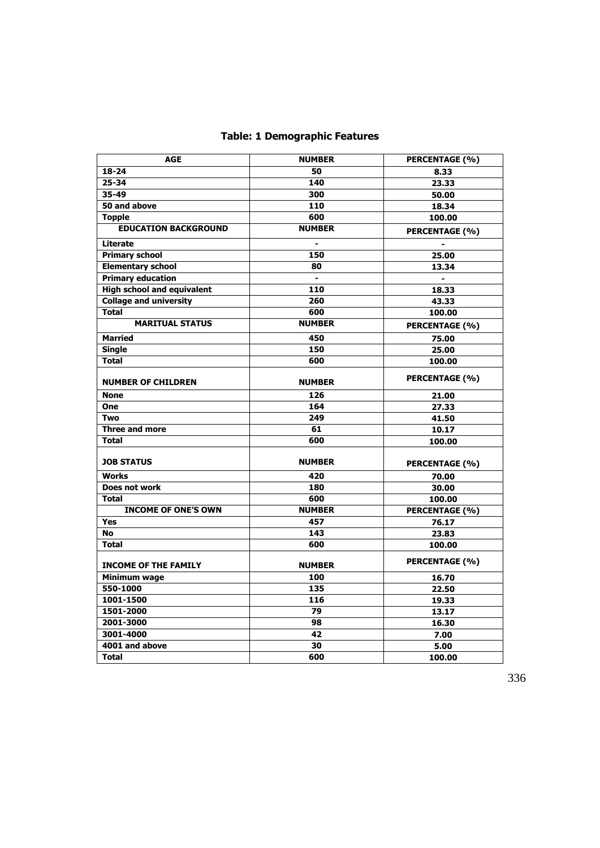## **Table: 1 Demographic Features**

| <b>AGE</b>                        | <b>NUMBER</b>            | PERCENTAGE (%)        |
|-----------------------------------|--------------------------|-----------------------|
| $18 - 24$                         | 50                       | 8.33                  |
| 25-34                             | 140                      | 23.33                 |
| 35-49                             | 300                      | 50.00                 |
| 50 and above                      | 110                      | 18.34                 |
| <b>Topple</b>                     | 600                      | 100.00                |
| <b>EDUCATION BACKGROUND</b>       | <b>NUMBER</b>            | PERCENTAGE (%)        |
| Literate                          | $\overline{\phantom{0}}$ |                       |
| <b>Primary school</b>             | 150                      | 25.00                 |
| <b>Elementary school</b>          | 80                       | 13.34                 |
| <b>Primary education</b>          | $\blacksquare$           | $\blacksquare$        |
| <b>High school and equivalent</b> | 110                      | 18.33                 |
| <b>Collage and university</b>     | 260                      | 43.33                 |
| <b>Total</b>                      | 600                      | 100.00                |
| <b>MARITUAL STATUS</b>            | <b>NUMBER</b>            | PERCENTAGE (%)        |
| <b>Married</b>                    | 450                      | 75.00                 |
| <b>Single</b>                     | 150                      | 25.00                 |
| <b>Total</b>                      | 600                      | 100.00                |
| <b>NUMBER OF CHILDREN</b>         | <b>NUMBER</b>            | PERCENTAGE (%)        |
| <b>None</b>                       | 126                      | 21.00                 |
| One                               | 164                      | 27.33                 |
| <b>Two</b>                        | 249                      | 41.50                 |
| Three and more                    | 61                       | 10.17                 |
| <b>Total</b>                      | 600                      | 100.00                |
| <b>JOB STATUS</b>                 | <b>NUMBER</b>            | <b>PERCENTAGE (%)</b> |
| <b>Works</b>                      | 420                      | 70.00                 |
| Does not work                     | 180                      | 30.00                 |
| <b>Total</b>                      | 600                      | 100.00                |
| <b>INCOME OF ONE'S OWN</b>        | <b>NUMBER</b>            | PERCENTAGE (%)        |
| <b>Yes</b>                        | 457                      | 76.17                 |
| <b>No</b>                         | 143                      | 23.83                 |
| <b>Total</b>                      | 600                      | 100.00                |
| <b>INCOME OF THE FAMILY</b>       | <b>NUMBER</b>            | PERCENTAGE (%)        |
| Minimum wage                      | 100                      | 16.70                 |
| 550-1000                          | 135                      | 22.50                 |
| 1001-1500                         | 116                      | 19.33                 |
| 1501-2000                         | 79                       | 13.17                 |
| 2001-3000                         | 98                       | 16.30                 |
| 3001-4000                         | 42                       | 7.00                  |
| 4001 and above                    | 30                       | 5.00                  |
| <b>Total</b>                      | 600                      | 100.00                |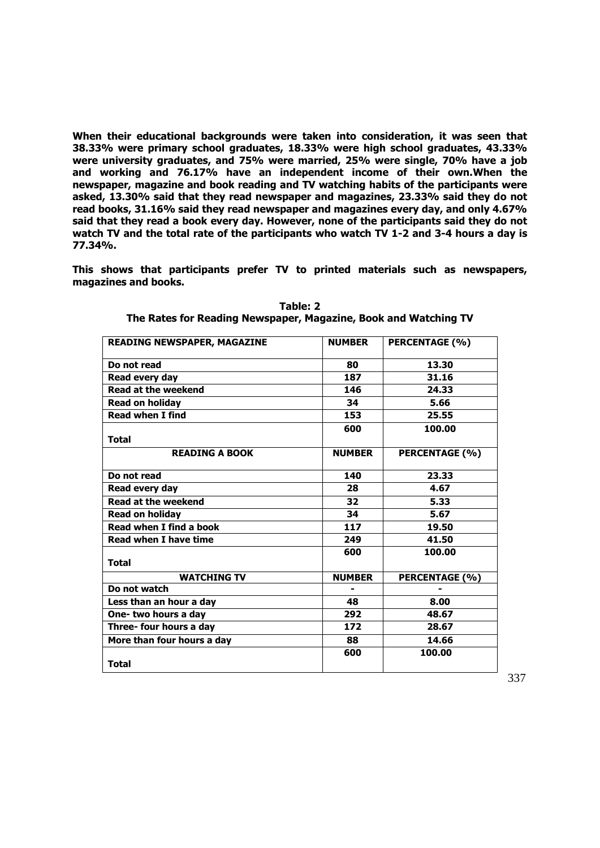**When their educational backgrounds were taken into consideration, it was seen that 38.33% were primary school graduates, 18.33% were high school graduates, 43.33% were university graduates, and 75% were married, 25% were single, 70% have a job and working and 76.17% have an independent income of their own.When the newspaper, magazine and book reading and TV watching habits of the participants were asked, 13.30% said that they read newspaper and magazines, 23.33% said they do not read books, 31.16% said they read newspaper and magazines every day, and only 4.67% said that they read a book every day. However, none of the participants said they do not watch TV and the total rate of the participants who watch TV 1-2 and 3-4 hours a day is 77.34%.**

**This shows that participants prefer TV to printed materials such as newspapers, magazines and books.**

| <b>READING NEWSPAPER, MAGAZINE</b> | <b>NUMBER</b> | <b>PERCENTAGE (%)</b> |
|------------------------------------|---------------|-----------------------|
| Do not read                        | 80            | 13.30                 |
| Read every day                     | 187           | 31.16                 |
| <b>Read at the weekend</b>         | 146           | 24.33                 |
| <b>Read on holiday</b>             | 34            | 5.66                  |
| <b>Read when I find</b>            | 153           | 25.55                 |
| <b>Total</b>                       | 600           | 100.00                |
| <b>READING A BOOK</b>              | <b>NUMBER</b> | PERCENTAGE (%)        |
| Do not read                        | 140           | 23.33                 |
| Read every day                     | 28            | 4.67                  |
| <b>Read at the weekend</b>         | 32            | 5.33                  |
| <b>Read on holiday</b>             | 34            | 5.67                  |
| Read when I find a book            | 117           | 19.50                 |
| <b>Read when I have time</b>       | 249           | 41.50                 |
| <b>Total</b>                       | 600           | 100.00                |
| <b>WATCHING TV</b>                 | <b>NUMBER</b> | PERCENTAGE (%)        |
| Do not watch                       |               |                       |
| Less than an hour a day            | 48            | 8.00                  |
| One-two hours a day                | 292           | 48.67                 |
| Three- four hours a day            | 172           | 28.67                 |
| More than four hours a day         | 88            | 14.66                 |
| <b>Total</b>                       | 600           | 100.00                |

**Table: 2 The Rates for Reading Newspaper, Magazine, Book and Watching TV**

337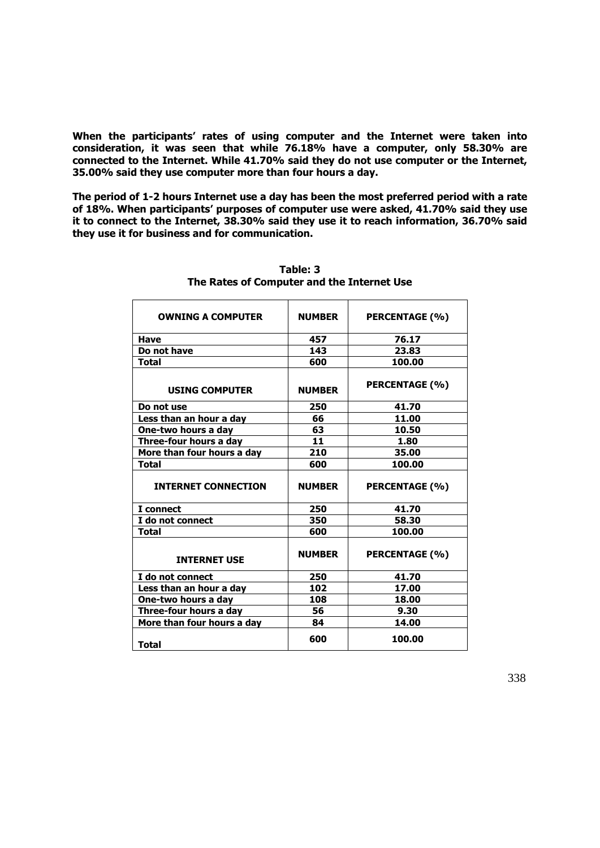**When the participants' rates of using computer and the Internet were taken into consideration, it was seen that while 76.18% have a computer, only 58.30% are connected to the Internet. While 41.70% said they do not use computer or the Internet, 35.00% said they use computer more than four hours a day.** 

**The period of 1-2 hours Internet use a day has been the most preferred period with a rate of 18%. When participants' purposes of computer use were asked, 41.70% said they use it to connect to the Internet, 38.30% said they use it to reach information, 36.70% said they use it for business and for communication.**

| <b>OWNING A COMPUTER</b>   | <b>NUMBER</b> | PERCENTAGE (%)        |
|----------------------------|---------------|-----------------------|
| Have                       | 457           | 76.17                 |
| Do not have                | 143           | 23.83                 |
| <b>Total</b>               | 600           | 100.00                |
| <b>USING COMPUTER</b>      | <b>NUMBER</b> | PERCENTAGE (%)        |
| Do not use                 | 250           | 41.70                 |
| Less than an hour a day    | 66            | 11.00                 |
| One-two hours a day        | 63            | 10.50                 |
| Three-four hours a day     | 11            | 1.80                  |
| More than four hours a day | 210           | 35.00                 |
| <b>Total</b>               | 600           | 100.00                |
|                            |               |                       |
| <b>INTERNET CONNECTION</b> | <b>NUMBER</b> | PERCENTAGE (%)        |
| I connect                  | 250           | 41.70                 |
| I do not connect           | 350           | 58.30                 |
| <b>Total</b>               | 600           | 100.00                |
| <b>INTERNET USE</b>        | <b>NUMBER</b> | <b>PERCENTAGE (%)</b> |
| I do not connect           | 250           | 41.70                 |
| Less than an hour a day    | 102           | 17.00                 |
| One-two hours a day        | 108           | 18.00                 |
| Three-four hours a day     | 56            | 9.30                  |
| More than four hours a day | 84            | 14.00                 |

**Table: 3 The Rates of Computer and the Internet Use**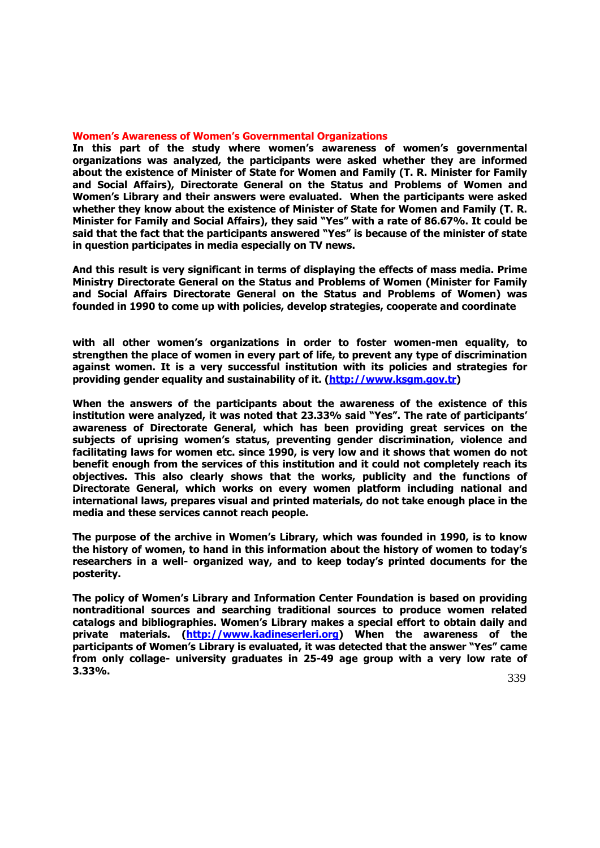## **Women's Awareness of Women's Governmental Organizations**

**In this part of the study where women's awareness of women's governmental organizations was analyzed, the participants were asked whether they are informed about the existence of Minister of State for Women and Family (T. R. Minister for Family and Social Affairs), Directorate General on the Status and Problems of Women and Women's Library and their answers were evaluated. When the participants were asked whether they know about the existence of Minister of State for Women and Family (T. R. Minister for Family and Social Affairs), they said "Yes" with a rate of 86.67%. It could be said that the fact that the participants answered "Yes" is because of the minister of state in question participates in media especially on TV news.** 

**And this result is very significant in terms of displaying the effects of mass media. Prime Ministry Directorate General on the Status and Problems of Women (Minister for Family and Social Affairs Directorate General on the Status and Problems of Women) was founded in 1990 to come up with policies, develop strategies, cooperate and coordinate** 

**with all other women's organizations in order to foster women-men equality, to strengthen the place of women in every part of life, to prevent any type of discrimination against women. It is a very successful institution with its policies and strategies for providing gender equality and sustainability of it. [\(http://www.ksgm.gov.tr\)](http://www.ksgm.gov.tr/)**

**When the answers of the participants about the awareness of the existence of this institution were analyzed, it was noted that 23.33% said "Yes". The rate of participants' awareness of Directorate General, which has been providing great services on the subjects of uprising women's status, preventing gender discrimination, violence and facilitating laws for women etc. since 1990, is very low and it shows that women do not benefit enough from the services of this institution and it could not completely reach its objectives. This also clearly shows that the works, publicity and the functions of Directorate General, which works on every women platform including national and international laws, prepares visual and printed materials, do not take enough place in the media and these services cannot reach people.**

**The purpose of the archive in Women's Library, which was founded in 1990, is to know the history of women, to hand in this information about the history of women to today's researchers in a well- organized way, and to keep today's printed documents for the posterity.** 

**The policy of Women's Library and Information Center Foundation is based on providing nontraditional sources and searching traditional sources to produce women related catalogs and bibliographies. Women's Library makes a special effort to obtain daily and private materials. [\(http://www.kadineserleri.org\)](http://www.kadineserleri.org/) When the awareness of the participants of Women's Library is evaluated, it was detected that the answer "Yes" came from only collage- university graduates in 25-49 age group with a very low rate of 3.33%.**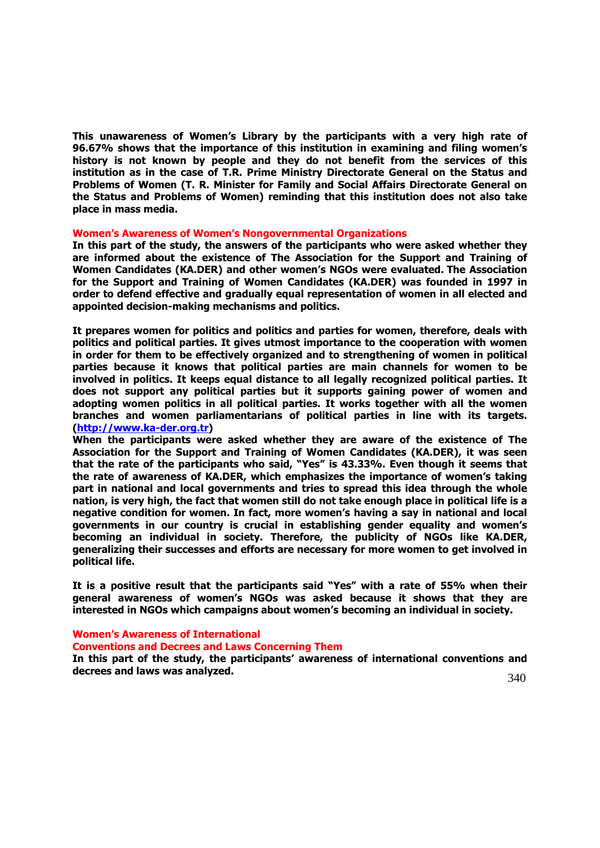**This unawareness of Women's Library by the participants with a very high rate of 96.67% shows that the importance of this institution in examining and filing women's history is not known by people and they do not benefit from the services of this institution as in the case of T.R. Prime Ministry Directorate General on the Status and Problems of Women (T. R. Minister for Family and Social Affairs Directorate General on the Status and Problems of Women) reminding that this institution does not also take place in mass media.** 

#### **Women's Awareness of Women's Nongovernmental Organizations**

**In this part of the study, the answers of the participants who were asked whether they are informed about the existence of The Association for the Support and Training of Women Candidates (KA.DER) and other women's NGOs were evaluated. The Association for the Support and Training of Women Candidates (KA.DER) was founded in 1997 in order to defend effective and gradually equal representation of women in all elected and appointed decision-making mechanisms and politics.** 

**It prepares women for politics and politics and parties for women, therefore, deals with politics and political parties. It gives utmost importance to the cooperation with women in order for them to be effectively organized and to strengthening of women in political parties because it knows that political parties are main channels for women to be involved in politics. It keeps equal distance to all legally recognized political parties. It does not support any political parties but it supports gaining power of women and adopting women politics in all political parties. It works together with all the women branches and women parliamentarians of political parties in line with its targets. [\(http://www.ka-der.org.tr\)](http://www.ka-der.org.tr/)**

**When the participants were asked whether they are aware of the existence of The Association for the Support and Training of Women Candidates (KA.DER), it was seen that the rate of the participants who said, "Yes" is 43.33%. Even though it seems that the rate of awareness of KA.DER, which emphasizes the importance of women's taking part in national and local governments and tries to spread this idea through the whole nation, is very high, the fact that women still do not take enough place in political life is a negative condition for women. In fact, more women's having a say in national and local governments in our country is crucial in establishing gender equality and women's becoming an individual in society. Therefore, the publicity of NGOs like KA.DER, generalizing their successes and efforts are necessary for more women to get involved in political life.**

**It is a positive result that the participants said "Yes" with a rate of 55% when their general awareness of women's NGOs was asked because it shows that they are interested in NGOs which campaigns about women's becoming an individual in society.**

#### **Women's Awareness of International**

#### **Conventions and Decrees and Laws Concerning Them**

In this part of the study, the participants' awareness of international conventions and **decrees and laws was analyzed.** 

340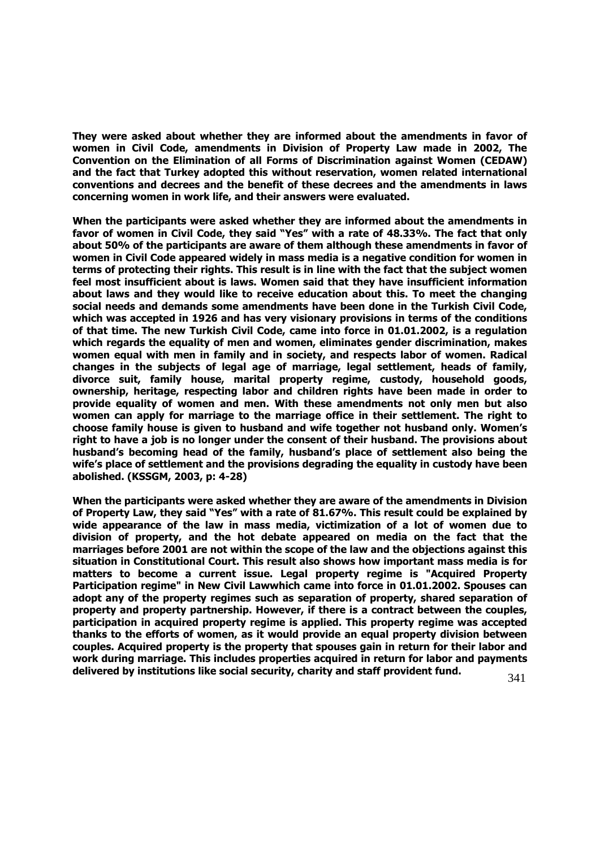**They were asked about whether they are informed about the amendments in favor of women in Civil Code, amendments in Division of Property Law made in 2002, The Convention on the Elimination of all Forms of Discrimination against Women (CEDAW) and the fact that Turkey adopted this without reservation, women related international conventions and decrees and the benefit of these decrees and the amendments in laws concerning women in work life, and their answers were evaluated.**

**When the participants were asked whether they are informed about the amendments in favor of women in Civil Code, they said "Yes" with a rate of 48.33%. The fact that only about 50% of the participants are aware of them although these amendments in favor of women in Civil Code appeared widely in mass media is a negative condition for women in terms of protecting their rights. This result is in line with the fact that the subject women feel most insufficient about is laws. Women said that they have insufficient information about laws and they would like to receive education about this. To meet the changing social needs and demands some amendments have been done in the Turkish Civil Code, which was accepted in 1926 and has very visionary provisions in terms of the conditions of that time. The new Turkish Civil Code, came into force in 01.01.2002, is a regulation which regards the equality of men and women, eliminates gender discrimination, makes women equal with men in family and in society, and respects labor of women. Radical changes in the subjects of legal age of marriage, legal settlement, heads of family, divorce suit, family house, marital property regime, custody, household goods, ownership, heritage, respecting labor and children rights have been made in order to provide equality of women and men. With these amendments not only men but also women can apply for marriage to the marriage office in their settlement. The right to choose family house is given to husband and wife together not husband only. Women's right to have a job is no longer under the consent of their husband. The provisions about husband's becoming head of the family, husband's place of settlement also being the wife's place of settlement and the provisions degrading the equality in custody have been abolished. (KSSGM, 2003, p: 4-28)**

341 **When the participants were asked whether they are aware of the amendments in Division of Property Law, they said "Yes" with a rate of 81.67%. This result could be explained by wide appearance of the law in mass media, victimization of a lot of women due to division of property, and the hot debate appeared on media on the fact that the marriages before 2001 are not within the scope of the law and the objections against this situation in Constitutional Court. This result also shows how important mass media is for matters to become a current issue. Legal property regime is "Acquired Property Participation regime" in New Civil Lawwhich came into force in 01.01.2002. Spouses can adopt any of the property regimes such as separation of property, shared separation of property and property partnership. However, if there is a contract between the couples, participation in acquired property regime is applied. This property regime was accepted thanks to the efforts of women, as it would provide an equal property division between couples. Acquired property is the property that spouses gain in return for their labor and work during marriage. This includes properties acquired in return for labor and payments delivered by institutions like social security, charity and staff provident fund.**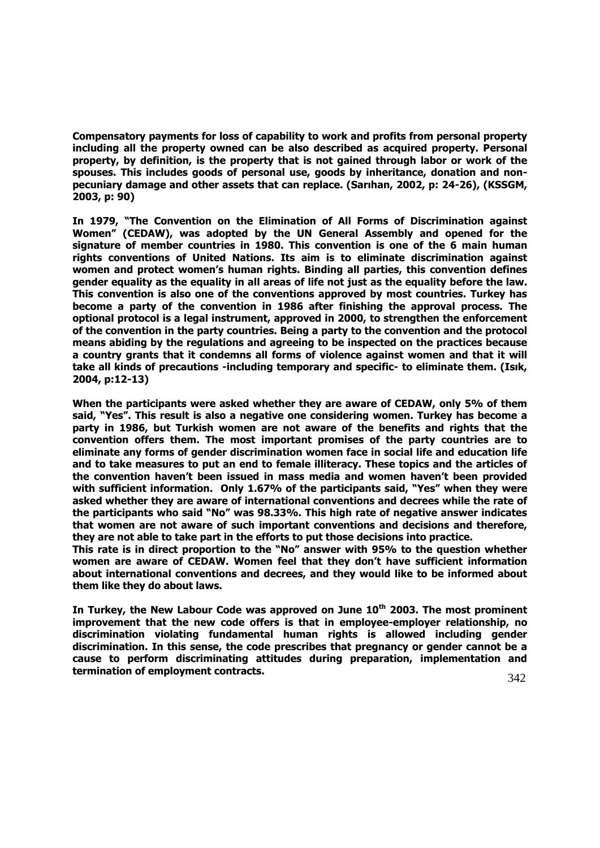**Compensatory payments for loss of capability to work and profits from personal property including all the property owned can be also described as acquired property. Personal property, by definition, is the property that is not gained through labor or work of the spouses. This includes goods of personal use, goods by inheritance, donation and nonpecuniary damage and other assets that can replace. (Sarıhan, 2002, p: 24-26), (KSSGM, 2003, p: 90)**

**In 1979, "The Convention on the Elimination of All Forms of Discrimination against Women" (CEDAW), was adopted by the UN General Assembly and opened for the signature of member countries in 1980. This convention is one of the 6 main human rights conventions of United Nations. Its aim is to eliminate discrimination against women and protect women's human rights. Binding all parties, this convention defines gender equality as the equality in all areas of life not just as the equality before the law. This convention is also one of the conventions approved by most countries. Turkey has become a party of the convention in 1986 after finishing the approval process. The optional protocol is a legal instrument, approved in 2000, to strengthen the enforcement of the convention in the party countries. Being a party to the convention and the protocol means abiding by the regulations and agreeing to be inspected on the practices because a country grants that it condemns all forms of violence against women and that it will take all kinds of precautions -including temporary and specific- to eliminate them. (Isık, 2004, p:12-13)** 

**When the participants were asked whether they are aware of CEDAW, only 5% of them said, "Yes". This result is also a negative one considering women. Turkey has become a party in 1986, but Turkish women are not aware of the benefits and rights that the convention offers them. The most important promises of the party countries are to eliminate any forms of gender discrimination women face in social life and education life and to take measures to put an end to female illiteracy. These topics and the articles of the convention haven't been issued in mass media and women haven't been provided with sufficient information. Only 1.67% of the participants said, "Yes" when they were asked whether they are aware of international conventions and decrees while the rate of the participants who said "No" was 98.33%. This high rate of negative answer indicates that women are not aware of such important conventions and decisions and therefore, they are not able to take part in the efforts to put those decisions into practice.** 

**This rate is in direct proportion to the "No" answer with 95% to the question whether women are aware of CEDAW. Women feel that they don't have sufficient information about international conventions and decrees, and they would like to be informed about them like they do about laws.** 

**In Turkey, the New Labour Code was approved on June 10th 2003. The most prominent improvement that the new code offers is that in employee-employer relationship, no discrimination violating fundamental human rights is allowed including gender discrimination. In this sense, the code prescribes that pregnancy or gender cannot be a cause to perform discriminating attitudes during preparation, implementation and termination of employment contracts.**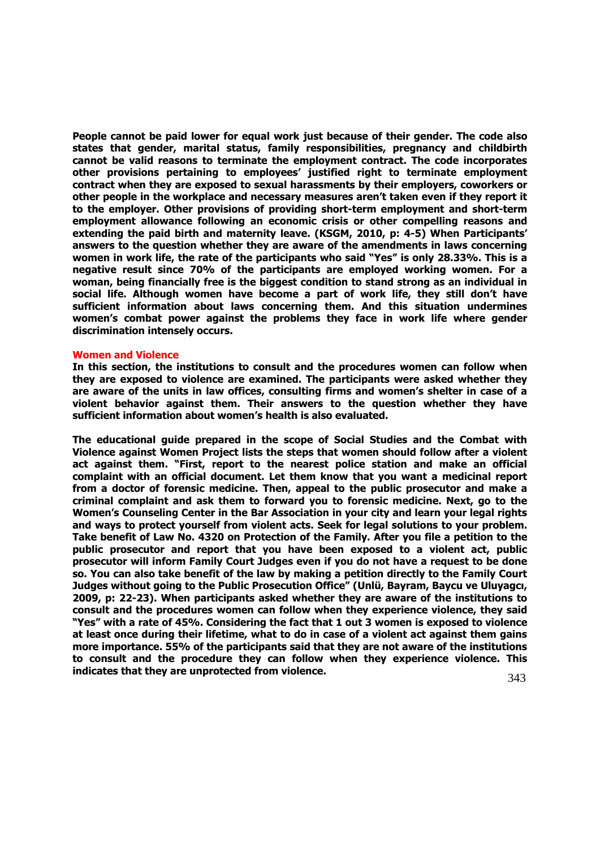**People cannot be paid lower for equal work just because of their gender. The code also states that gender, marital status, family responsibilities, pregnancy and childbirth cannot be valid reasons to terminate the employment contract. The code incorporates other provisions pertaining to employees' justified right to terminate employment contract when they are exposed to sexual harassments by their employers, coworkers or other people in the workplace and necessary measures aren't taken even if they report it to the employer. Other provisions of providing short-term employment and short-term employment allowance following an economic crisis or other compelling reasons and extending the paid birth and maternity leave. (KSGM, 2010, p: 4-5) When Participants' answers to the question whether they are aware of the amendments in laws concerning women in work life, the rate of the participants who said "Yes" is only 28.33%. This is a negative result since 70% of the participants are employed working women. For a woman, being financially free is the biggest condition to stand strong as an individual in social life. Although women have become a part of work life, they still don't have sufficient information about laws concerning them. And this situation undermines women's combat power against the problems they face in work life where gender discrimination intensely occurs.** 

#### **Women and Violence**

**In this section, the institutions to consult and the procedures women can follow when they are exposed to violence are examined. The participants were asked whether they are aware of the units in law offices, consulting firms and women's shelter in case of a violent behavior against them. Their answers to the question whether they have sufficient information about women's health is also evaluated.** 

**The educational guide prepared in the scope of Social Studies and the Combat with Violence against Women Project lists the steps that women should follow after a violent act against them. "First, report to the nearest police station and make an official complaint with an official document. Let them know that you want a medicinal report from a doctor of forensic medicine. Then, appeal to the public prosecutor and make a criminal complaint and ask them to forward you to forensic medicine. Next, go to the Women's Counseling Center in the Bar Association in your city and learn your legal rights and ways to protect yourself from violent acts. Seek for legal solutions to your problem. Take benefit of Law No. 4320 on Protection of the Family. After you file a petition to the public prosecutor and report that you have been exposed to a violent act, public prosecutor will inform Family Court Judges even if you do not have a request to be done so. You can also take benefit of the law by making a petition directly to the Family Court Judges without going to the Public Prosecution Office" (Unlü, Bayram, Baycu ve Uluyagcı, 2009, p: 22-23). When participants asked whether they are aware of the institutions to consult and the procedures women can follow when they experience violence, they said "Yes" with a rate of 45%. Considering the fact that 1 out 3 women is exposed to violence at least once during their lifetime, what to do in case of a violent act against them gains more importance. 55% of the participants said that they are not aware of the institutions to consult and the procedure they can follow when they experience violence. This indicates that they are unprotected from violence.**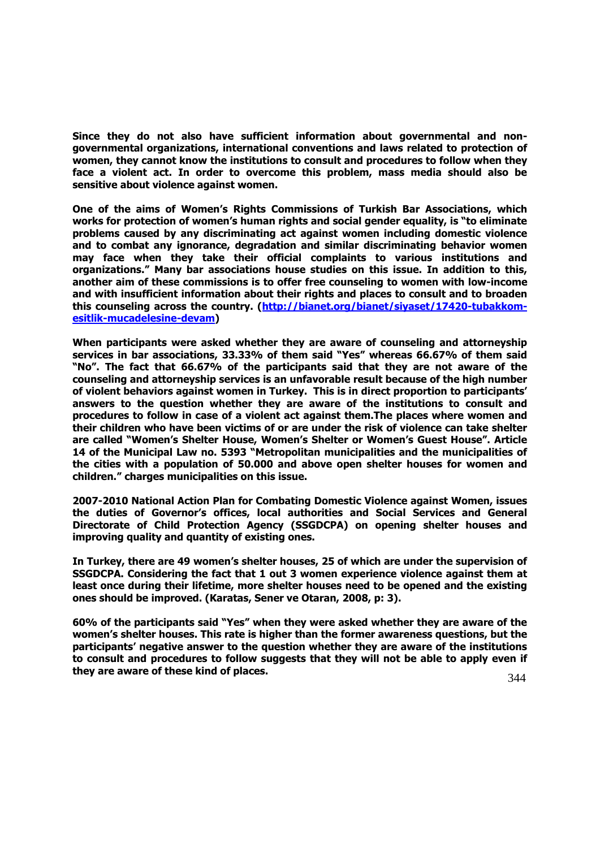**Since they do not also have sufficient information about governmental and nongovernmental organizations, international conventions and laws related to protection of women, they cannot know the institutions to consult and procedures to follow when they face a violent act. In order to overcome this problem, mass media should also be sensitive about violence against women.** 

**One of the aims of Women's Rights Commissions of Turkish Bar Associations, which works for protection of women's human rights and social gender equality, is "to eliminate problems caused by any discriminating act against women including domestic violence and to combat any ignorance, degradation and similar discriminating behavior women may face when they take their official complaints to various institutions and organizations." Many bar associations house studies on this issue. In addition to this, another aim of these commissions is to offer free counseling to women with low-income and with insufficient information about their rights and places to consult and to broaden this counseling across the country. [\(http://bianet.org/bianet/siyaset/17420-tubakkom](http://bianet.org/bianet/siyaset/17420-)[esitlik-mucadelesine-devam\)](http://bianet.org/bianet/siyaset/17420-)** 

**When participants were asked whether they are aware of counseling and attorneyship services in bar associations, 33.33% of them said "Yes" whereas 66.67% of them said "No". The fact that 66.67% of the participants said that they are not aware of the counseling and attorneyship services is an unfavorable result because of the high number of violent behaviors against women in Turkey. This is in direct proportion to participants' answers to the question whether they are aware of the institutions to consult and procedures to follow in case of a violent act against them.The places where women and their children who have been victims of or are under the risk of violence can take shelter are called "Women's Shelter House, Women's Shelter or Women's Guest House". Article 14 of the Municipal Law no. 5393 "Metropolitan municipalities and the municipalities of the cities with a population of 50.000 and above open shelter houses for women and children." charges municipalities on this issue.**

**2007-2010 National Action Plan for Combating Domestic Violence against Women, issues the duties of Governor's offices, local authorities and Social Services and General Directorate of Child Protection Agency (SSGDCPA) on opening shelter houses and improving quality and quantity of existing ones.**

**In Turkey, there are 49 women's shelter houses, 25 of which are under the supervision of SSGDCPA. Considering the fact that 1 out 3 women experience violence against them at least once during their lifetime, more shelter houses need to be opened and the existing ones should be improved. (Karatas, Sener ve Otaran, 2008, p: 3).**

**60% of the participants said "Yes" when they were asked whether they are aware of the women's shelter houses. This rate is higher than the former awareness questions, but the participants' negative answer to the question whether they are aware of the institutions to consult and procedures to follow suggests that they will not be able to apply even if they are aware of these kind of places.**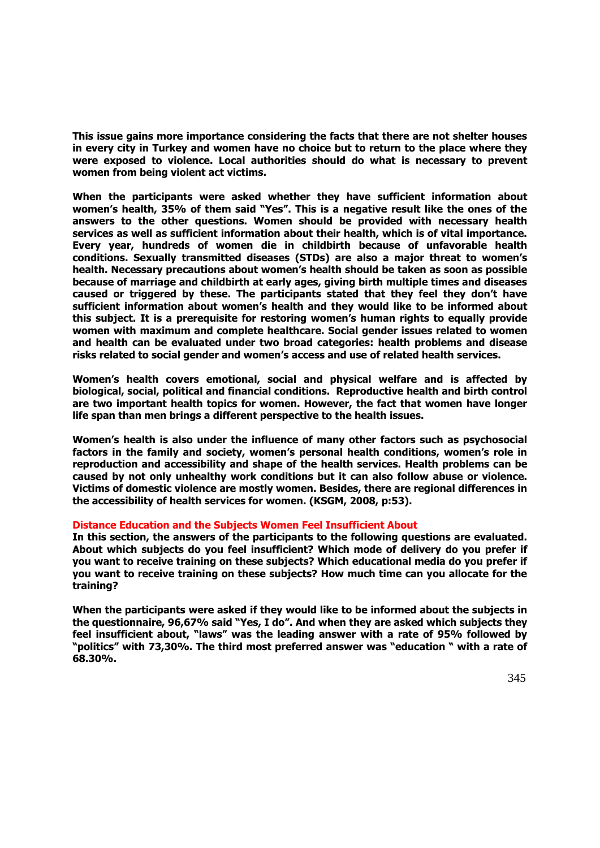**This issue gains more importance considering the facts that there are not shelter houses in every city in Turkey and women have no choice but to return to the place where they were exposed to violence. Local authorities should do what is necessary to prevent women from being violent act victims.**

**When the participants were asked whether they have sufficient information about women's health, 35% of them said "Yes". This is a negative result like the ones of the answers to the other questions. Women should be provided with necessary health services as well as sufficient information about their health, which is of vital importance. Every year, hundreds of women die in childbirth because of unfavorable health conditions. Sexually transmitted diseases (STDs) are also a major threat to women's health. Necessary precautions about women's health should be taken as soon as possible because of marriage and childbirth at early ages, giving birth multiple times and diseases caused or triggered by these. The participants stated that they feel they don't have sufficient information about women's health and they would like to be informed about this subject. It is a prerequisite for restoring women's human rights to equally provide women with maximum and complete healthcare. Social gender issues related to women and health can be evaluated under two broad categories: health problems and disease risks related to social gender and women's access and use of related health services.** 

**Women's health covers emotional, social and physical welfare and is affected by biological, social, political and financial conditions. Reproductive health and birth control are two important health topics for women. However, the fact that women have longer life span than men brings a different perspective to the health issues.** 

**Women's health is also under the influence of many other factors such as psychosocial factors in the family and society, women's personal health conditions, women's role in reproduction and accessibility and shape of the health services. Health problems can be caused by not only unhealthy work conditions but it can also follow abuse or violence. Victims of domestic violence are mostly women. Besides, there are regional differences in the accessibility of health services for women. (KSGM, 2008, p:53).**

## **Distance Education and the Subjects Women Feel Insufficient About**

**In this section, the answers of the participants to the following questions are evaluated. About which subjects do you feel insufficient? Which mode of delivery do you prefer if you want to receive training on these subjects? Which educational media do you prefer if you want to receive training on these subjects? How much time can you allocate for the training?**

**When the participants were asked if they would like to be informed about the subjects in the questionnaire, 96,67% said "Yes, I do". And when they are asked which subjects they feel insufficient about, "laws" was the leading answer with a rate of 95% followed by "politics" with 73,30%. The third most preferred answer was "education " with a rate of 68.30%.**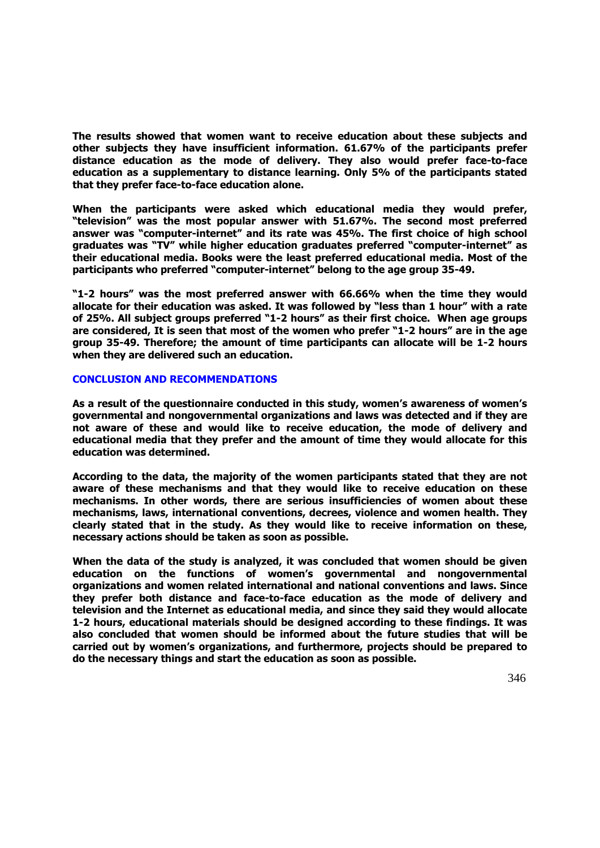**The results showed that women want to receive education about these subjects and other subjects they have insufficient information. 61.67% of the participants prefer distance education as the mode of delivery. They also would prefer face-to-face education as a supplementary to distance learning. Only 5% of the participants stated that they prefer face-to-face education alone.** 

**When the participants were asked which educational media they would prefer, "television" was the most popular answer with 51.67%. The second most preferred answer was "computer-internet" and its rate was 45%. The first choice of high school graduates was "TV" while higher education graduates preferred "computer-internet" as their educational media. Books were the least preferred educational media. Most of the participants who preferred "computer-internet" belong to the age group 35-49.** 

**"1-2 hours" was the most preferred answer with 66.66% when the time they would allocate for their education was asked. It was followed by "less than 1 hour" with a rate of 25%. All subject groups preferred "1-2 hours" as their first choice. When age groups are considered, It is seen that most of the women who prefer "1-2 hours" are in the age group 35-49. Therefore; the amount of time participants can allocate will be 1-2 hours when they are delivered such an education.**

## **CONCLUSION AND RECOMMENDATIONS**

**As a result of the questionnaire conducted in this study, women's awareness of women's governmental and nongovernmental organizations and laws was detected and if they are not aware of these and would like to receive education, the mode of delivery and educational media that they prefer and the amount of time they would allocate for this education was determined.** 

**According to the data, the majority of the women participants stated that they are not aware of these mechanisms and that they would like to receive education on these mechanisms. In other words, there are serious insufficiencies of women about these mechanisms, laws, international conventions, decrees, violence and women health. They clearly stated that in the study. As they would like to receive information on these, necessary actions should be taken as soon as possible.**

**When the data of the study is analyzed, it was concluded that women should be given education on the functions of women's governmental and nongovernmental organizations and women related international and national conventions and laws. Since they prefer both distance and face-to-face education as the mode of delivery and television and the Internet as educational media, and since they said they would allocate 1-2 hours, educational materials should be designed according to these findings. It was also concluded that women should be informed about the future studies that will be carried out by women's organizations, and furthermore, projects should be prepared to do the necessary things and start the education as soon as possible.**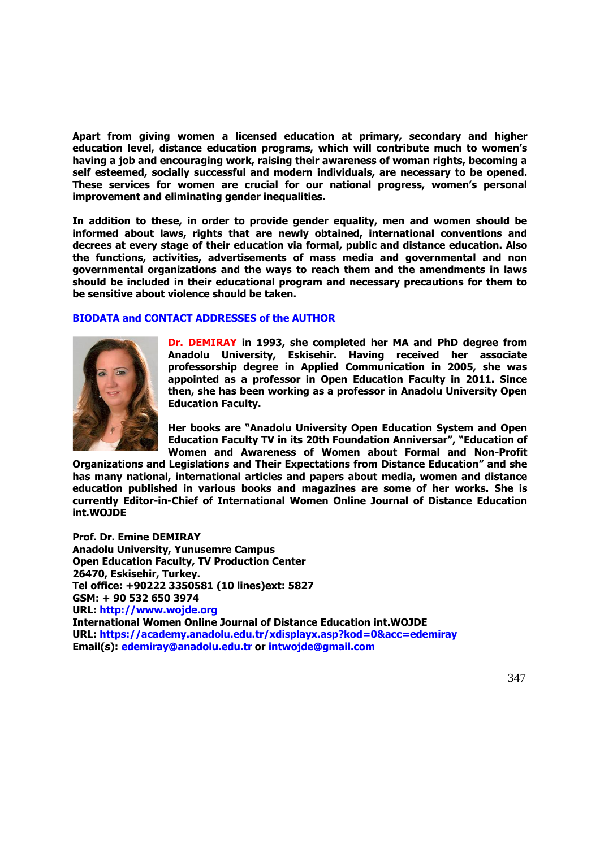**Apart from giving women a licensed education at primary, secondary and higher education level, distance education programs, which will contribute much to women's having a job and encouraging work, raising their awareness of woman rights, becoming a self esteemed, socially successful and modern individuals, are necessary to be opened. These services for women are crucial for our national progress, women's personal improvement and eliminating gender inequalities.**

**In addition to these, in order to provide gender equality, men and women should be informed about laws, rights that are newly obtained, international conventions and decrees at every stage of their education via formal, public and distance education. Also the functions, activities, advertisements of mass media and governmental and non governmental organizations and the ways to reach them and the amendments in laws should be included in their educational program and necessary precautions for them to be sensitive about violence should be taken.**

## **BIODATA and CONTACT ADDRESSES of the AUTHOR**



**Dr. DEMIRAY in 1993, she completed her MA and PhD degree from Anadolu University, Eskisehir. Having received her associate professorship degree in Applied Communication in 2005, she was appointed as a professor in Open Education Faculty in 2011. Since then, she has been working as a professor in Anadolu University Open Education Faculty.**

**Her books are "Anadolu University Open Education System and Open Education Faculty TV in its 20th Foundation Anniversar", "Education of Women and Awareness of Women about Formal and Non-Profit** 

**Organizations and Legislations and Their Expectations from Distance Education" and she has many national, international articles and papers about media, women and distance education published in various books and magazines are some of her works. She is currently Editor-in-Chief of International Women Online Journal of Distance Education int.WOJDE** 

**Prof. Dr. Emine DEMIRAY Anadolu University, Yunusemre Campus Open Education Faculty, TV Production Center 26470, Eskisehir, Turkey. Tel office: +90222 3350581 (10 lines)ext: 5827 GSM: + 90 532 650 3974 URL: http://www.wojde.org International Women Online Journal of Distance Education int.WOJDE URL: https://academy.anadolu.edu.tr/xdisplayx.asp?kod=0&acc=edemiray Email(s): edemiray@anadolu.edu.tr or intwojde@gmail.com**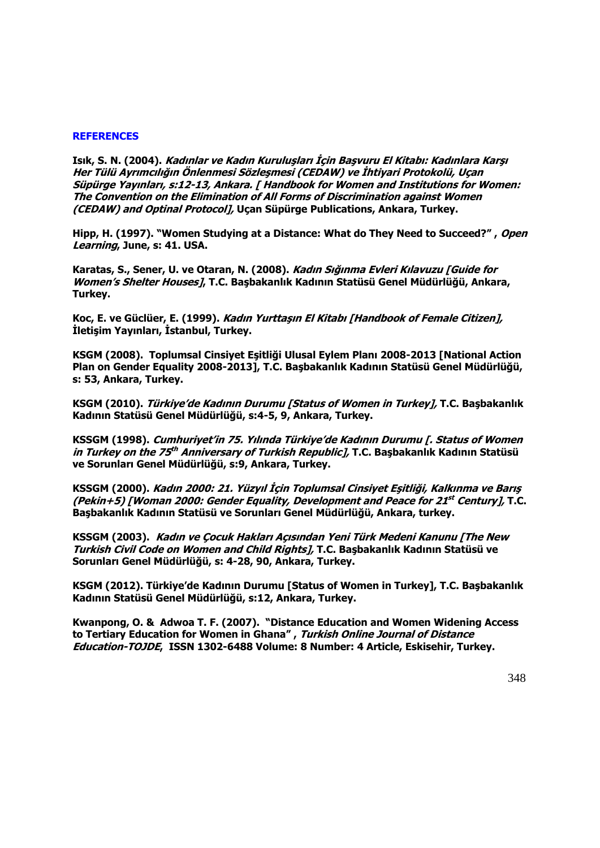#### **REFERENCES**

**Isık, S. N. (2004). Kadınlar ve Kadın Kuruluşları İçin Başvuru El Kitabı: Kadınlara Karşı Her Tülü Ayrımcılığın Önlenmesi Sözleşmesi (CEDAW) ve İhtiyari Protokolü, Uçan Süpürge Yayınları, s:12-13, Ankara. [ Handbook for Women and Institutions for Women: The Convention on the Elimination of All Forms of Discrimination against Women (CEDAW) and Optinal Protocol], Uçan Süpürge Publications, Ankara, Turkey.** 

**Hipp, H. (1997). "Women Studying at a Distance: What do They Need to Succeed?" , Open Learning, June, s: 41. USA.**

**Karatas, S., Sener, U. ve Otaran, N. (2008). Kadın Sığınma Evleri Kılavuzu [Guide for Women's Shelter Houses], T.C. Başbakanlık Kadının Statüsü Genel Müdürlüğü, Ankara, Turkey.** 

**Koc, E. ve Güclüer, E. (1999). Kadın Yurttaşın El Kitabı [Handbook of Female Citizen], İletişim Yayınları, İstanbul, Turkey.**

**KSGM (2008). Toplumsal Cinsiyet Eşitliği Ulusal Eylem Planı 2008-2013 [National Action Plan on Gender Equality 2008-2013], T.C. Başbakanlık Kadının Statüsü Genel Müdürlüğü, s: 53, Ankara, Turkey.**

**KSGM (2010). Türkiye'de Kadının Durumu [Status of Women in Turkey], T.C. Başbakanlık Kadının Statüsü Genel Müdürlüğü, s:4-5, 9, Ankara, Turkey.**

**KSSGM (1998). Cumhuriyet'in 75. Yılında Türkiye'de Kadının Durumu [. Status of Women in Turkey on the 75 th Anniversary of Turkish Republic], T.C. Başbakanlık Kadının Statüsü ve Sorunları Genel Müdürlüğü, s:9, Ankara, Turkey.**

**KSSGM (2000). Kadın 2000: 21. Yüzyıl İçin Toplumsal Cinsiyet Eşitliği, Kalkınma ve Barış (Pekin+5) [Woman 2000: Gender Equality, Development and Peace for 21 st Century], T.C. Başbakanlık Kadının Statüsü ve Sorunları Genel Müdürlüğü, Ankara, turkey.**

**KSSGM (2003). Kadın ve Çocuk Hakları Açısından Yeni Türk Medeni Kanunu [The New Turkish Civil Code on Women and Child Rights], T.C. Başbakanlık Kadının Statüsü ve Sorunları Genel Müdürlüğü, s: 4-28, 90, Ankara, Turkey.**

**KSGM (2012). Türkiye'de Kadının Durumu [Status of Women in Turkey], T.C. Başbakanlık Kadının Statüsü Genel Müdürlüğü, s:12, Ankara, Turkey.** 

**Kwanpong, O. & Adwoa T. F. (2007). "Distance Education and Women Widening Access to Tertiary Education for Women in Ghana" , Turkish Online Journal of Distance Education-TOJDE, ISSN 1302-6488 Volume: 8 Number: 4 Article, Eskisehir, Turkey.**